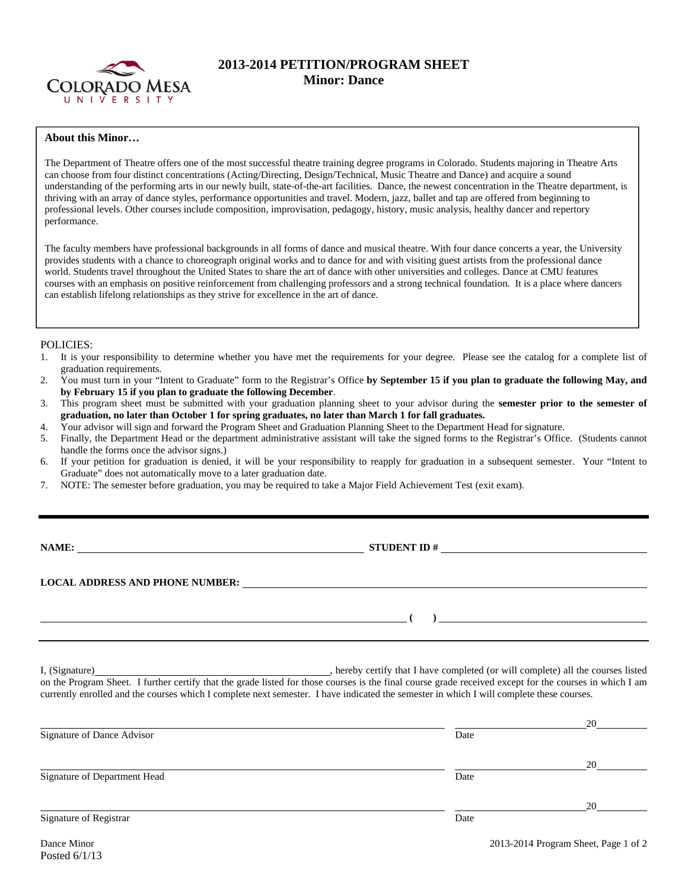

# **2013-2014 PETITION/PROGRAM SHEET Minor: Dance**

### **About this Minor…**

The Department of Theatre offers one of the most successful theatre training degree programs in Colorado. Students majoring in Theatre Arts can choose from four distinct concentrations (Acting/Directing, Design/Technical, Music Theatre and Dance) and acquire a sound understanding of the performing arts in our newly built, state-of-the-art facilities. Dance, the newest concentration in the Theatre department, is thriving with an array of dance styles, performance opportunities and travel. Modern, jazz, ballet and tap are offered from beginning to professional levels. Other courses include composition, improvisation, pedagogy, history, music analysis, healthy dancer and repertory performance.

The faculty members have professional backgrounds in all forms of dance and musical theatre. With four dance concerts a year, the University provides students with a chance to choreograph original works and to dance for and with visiting guest artists from the professional dance world. Students travel throughout the United States to share the art of dance with other universities and colleges. Dance at CMU features courses with an emphasis on positive reinforcement from challenging professors and a strong technical foundation. It is a place where dancers can establish lifelong relationships as they strive for excellence in the art of dance.

- POLICIES: 1. It is your responsibility to determine whether you have met the requirements for your degree. Please see the catalog for a complete list of graduation requirements.
- 2. You must turn in your "Intent to Graduate" form to the Registrar's Office **by September 15 if you plan to graduate the following May, and by February 15 if you plan to graduate the following December**.
- 3. This program sheet must be submitted with your graduation planning sheet to your advisor during the **semester prior to the semester of graduation, no later than October 1 for spring graduates, no later than March 1 for fall graduates.**
- 4. Your advisor will sign and forward the Program Sheet and Graduation Planning Sheet to the Department Head for signature.
- 5. Finally, the Department Head or the department administrative assistant will take the signed forms to the Registrar's Office. (Students cannot handle the forms once the advisor signs.)
- 6. If your petition for graduation is denied, it will be your responsibility to reapply for graduation in a subsequent semester. Your "Intent to Graduate" does not automatically move to a later graduation date.
- 7. NOTE: The semester before graduation, you may be required to take a Major Field Achievement Test (exit exam).

**NAMES IN STUDENT ID #** <u>NAMES IS STUDENT ID #</u>

 $($   $)$   $)$ 

**LOCAL ADDRESS AND PHONE NUMBER:**

I, (Signature) , hereby certify that I have completed (or will complete) all the courses listed on the Program Sheet. I further certify that the grade listed for those courses is the final course grade received except for the courses in which I am currently enrolled and the courses which I complete next semester. I have indicated the semester in which I will complete these courses.

|                              |      | 20 |
|------------------------------|------|----|
| Signature of Dance Advisor   | Date |    |
|                              |      | 20 |
| Signature of Department Head | Date |    |
|                              |      | 20 |
| Signature of Registrar       | Date |    |
|                              |      |    |